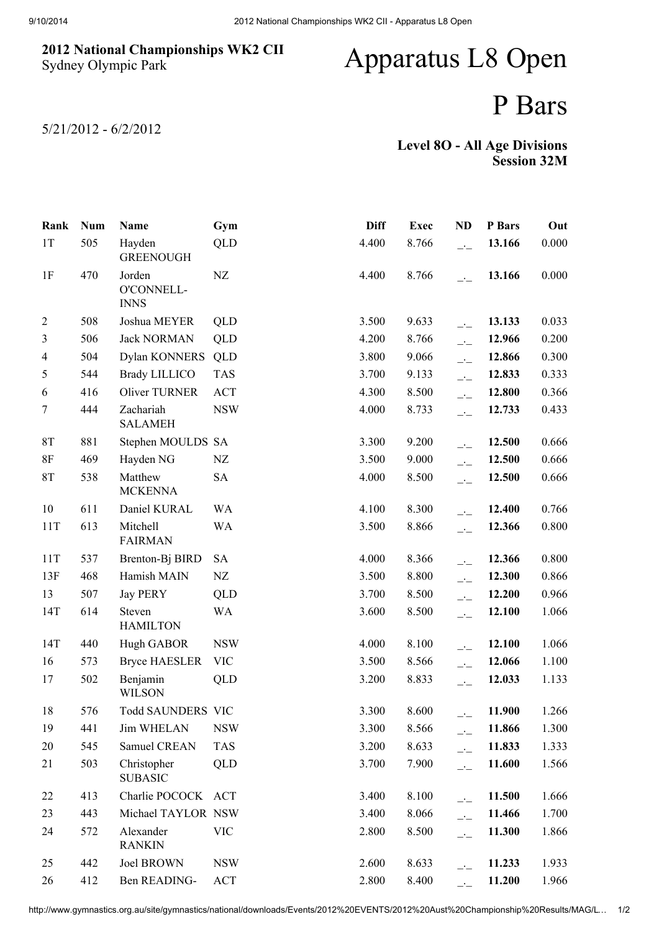## 2012 National Championships WK2 CII Sydney Olympic Park

## Apparatus L8 Open

## P Bars

5/21/2012 - 6/2/2012

## Level 8O - All Age Divisions Session 32M

| Rank           | <b>Num</b> | Name                                | Gym        | <b>Diff</b> | <b>Exec</b> | <b>ND</b>                  | P Bars | Out   |
|----------------|------------|-------------------------------------|------------|-------------|-------------|----------------------------|--------|-------|
| 1T             | 505        | Hayden<br><b>GREENOUGH</b>          | QLD        | 4.400       | 8.766       | $\overline{a}$             | 13.166 | 0.000 |
| 1F             | 470        | Jorden<br>O'CONNELL-<br><b>INNS</b> | NZ         | 4.400       | 8.766       | $\overline{\phantom{a}}$   | 13.166 | 0.000 |
| $\overline{2}$ | 508        | Joshua MEYER                        | QLD        | 3.500       | 9.633       | $-1$                       | 13.133 | 0.033 |
| 3              | 506        | <b>Jack NORMAN</b>                  | QLD        | 4.200       | 8.766       | $\overline{a}$             | 12.966 | 0.200 |
| $\overline{4}$ | 504        | Dylan KONNERS                       | QLD        | 3.800       | 9.066       | $\overline{\phantom{a}}$   | 12.866 | 0.300 |
| 5              | 544        | <b>Brady LILLICO</b>                | <b>TAS</b> | 3.700       | 9.133       | $\overline{\phantom{a}}$   | 12.833 | 0.333 |
| 6              | 416        | Oliver TURNER                       | <b>ACT</b> | 4.300       | 8.500       | $\overline{a}$             | 12.800 | 0.366 |
| $\tau$         | 444        | Zachariah<br><b>SALAMEH</b>         | <b>NSW</b> | 4.000       | 8.733       | $\overline{a}$             | 12.733 | 0.433 |
| 8T             | 881        | Stephen MOULDS SA                   |            | 3.300       | 9.200       | $\overline{\phantom{a}}$   | 12.500 | 0.666 |
| $8\mathrm{F}$  | 469        | Hayden NG                           | NZ         | 3.500       | 9.000       | $\overline{a}$             | 12.500 | 0.666 |
| 8T             | 538        | Matthew<br><b>MCKENNA</b>           | <b>SA</b>  | 4.000       | 8.500       | $\overline{\phantom{a}}$   | 12.500 | 0.666 |
| 10             | 611        | Daniel KURAL                        | <b>WA</b>  | 4.100       | 8.300       | $\overline{\phantom{a}}$ : | 12.400 | 0.766 |
| 11T            | 613        | Mitchell<br><b>FAIRMAN</b>          | <b>WA</b>  | 3.500       | 8.866       | $\overline{a}$             | 12.366 | 0.800 |
| 11T            | 537        | Brenton-Bj BIRD                     | <b>SA</b>  | 4.000       | 8.366       | $\overline{\phantom{a}}$   | 12.366 | 0.800 |
| 13F            | 468        | Hamish MAIN                         | NZ         | 3.500       | 8.800       | $\overline{\phantom{a}}$   | 12.300 | 0.866 |
| 13             | 507        | <b>Jay PERY</b>                     | QLD        | 3.700       | 8.500       | $\overline{\phantom{a}}$   | 12.200 | 0.966 |
| 14T            | 614        | Steven<br><b>HAMILTON</b>           | <b>WA</b>  | 3.600       | 8.500       | $\overline{\phantom{a}}$   | 12.100 | 1.066 |
| 14T            | 440        | Hugh GABOR                          | <b>NSW</b> | 4.000       | 8.100       | $-1$                       | 12.100 | 1.066 |
| 16             | 573        | <b>Bryce HAESLER</b>                | <b>VIC</b> | 3.500       | 8.566       | $-1$                       | 12.066 | 1.100 |
| 17             | 502        | Benjamin<br><b>WILSON</b>           | QLD        | 3.200       | 8.833       | $\frac{1}{2}$              | 12.033 | 1.133 |
| 18             | 576        | Todd SAUNDERS VIC                   |            | 3.300       | 8.600       |                            | 11.900 | 1.266 |
| 19             | 441        | <b>Jim WHELAN</b>                   | <b>NSW</b> | 3.300       | 8.566       | $-1$                       | 11.866 | 1.300 |
| 20             | 545        | Samuel CREAN                        | <b>TAS</b> | 3.200       | 8.633       | $\overline{\phantom{a}}$   | 11.833 | 1.333 |
| 21             | 503        | Christopher<br><b>SUBASIC</b>       | QLD        | 3.700       | 7.900       | $\overline{a}$             | 11.600 | 1.566 |
| 22             | 413        | Charlie POCOCK ACT                  |            | 3.400       | 8.100       | $\overline{\phantom{a}}$   | 11.500 | 1.666 |
| 23             | 443        | Michael TAYLOR NSW                  |            | 3.400       | 8.066       | $\overline{\phantom{a}}$   | 11.466 | 1.700 |
| 24             | 572        | Alexander<br><b>RANKIN</b>          | <b>VIC</b> | 2.800       | 8.500       | $-1$                       | 11.300 | 1.866 |
| 25             | 442        | Joel BROWN                          | <b>NSW</b> | 2.600       | 8.633       | $\overline{a}$             | 11.233 | 1.933 |
| 26             | 412        | Ben READING-                        | <b>ACT</b> | 2.800       | 8.400       |                            | 11.200 | 1.966 |

http://www.gymnastics.org.au/site/gymnastics/national/downloads/Events/2012%20EVENTS/2012%20Aust%20Championship%20Results/MAG/L… 1/2